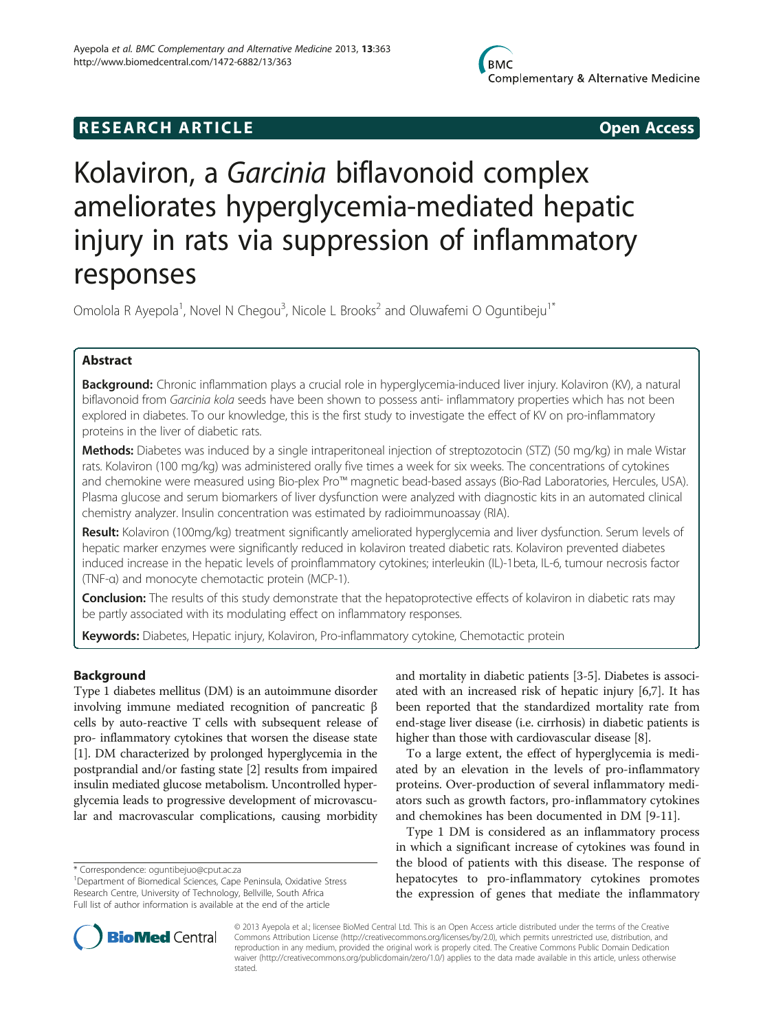# **RESEARCH ARTICLE Example 2014 CONSIDERING CONSIDERING CONSIDERING CONSIDERING CONSIDERING CONSIDERING CONSIDERING CONSIDERING CONSIDERING CONSIDERING CONSIDERING CONSIDERING CONSIDERING CONSIDERING CONSIDERING CONSIDE**

# Kolaviron, a Garcinia biflavonoid complex ameliorates hyperglycemia-mediated hepatic injury in rats via suppression of inflammatory responses

Omolola R Ayepola<sup>1</sup>, Novel N Chegou<sup>3</sup>, Nicole L Brooks<sup>2</sup> and Oluwafemi O Oguntibeju<sup>1\*</sup>

# Abstract

Background: Chronic inflammation plays a crucial role in hyperglycemia-induced liver injury. Kolaviron (KV), a natural biflavonoid from Garcinia kola seeds have been shown to possess anti- inflammatory properties which has not been explored in diabetes. To our knowledge, this is the first study to investigate the effect of KV on pro-inflammatory proteins in the liver of diabetic rats.

Methods: Diabetes was induced by a single intraperitoneal injection of streptozotocin (STZ) (50 mg/kg) in male Wistar rats. Kolaviron (100 mg/kg) was administered orally five times a week for six weeks. The concentrations of cytokines and chemokine were measured using Bio-plex Pro™ magnetic bead-based assays (Bio-Rad Laboratories, Hercules, USA). Plasma glucose and serum biomarkers of liver dysfunction were analyzed with diagnostic kits in an automated clinical chemistry analyzer. Insulin concentration was estimated by radioimmunoassay (RIA).

Result: Kolaviron (100mg/kg) treatment significantly ameliorated hyperglycemia and liver dysfunction. Serum levels of hepatic marker enzymes were significantly reduced in kolaviron treated diabetic rats. Kolaviron prevented diabetes induced increase in the hepatic levels of proinflammatory cytokines; interleukin (IL)-1beta, IL-6, tumour necrosis factor (TNF-α) and monocyte chemotactic protein (MCP-1).

Conclusion: The results of this study demonstrate that the hepatoprotective effects of kolaviron in diabetic rats may be partly associated with its modulating effect on inflammatory responses.

Keywords: Diabetes, Hepatic injury, Kolaviron, Pro-inflammatory cytokine, Chemotactic protein

# Background

Type 1 diabetes mellitus (DM) is an autoimmune disorder involving immune mediated recognition of pancreatic β cells by auto-reactive T cells with subsequent release of pro- inflammatory cytokines that worsen the disease state [[1\]](#page-7-0). DM characterized by prolonged hyperglycemia in the postprandial and/or fasting state [[2\]](#page-7-0) results from impaired insulin mediated glucose metabolism. Uncontrolled hyperglycemia leads to progressive development of microvascular and macrovascular complications, causing morbidity

and mortality in diabetic patients [\[3-5](#page-7-0)]. Diabetes is associated with an increased risk of hepatic injury [\[6,7](#page-7-0)]. It has been reported that the standardized mortality rate from end-stage liver disease (i.e. cirrhosis) in diabetic patients is higher than those with cardiovascular disease [\[8](#page-7-0)].

To a large extent, the effect of hyperglycemia is mediated by an elevation in the levels of pro-inflammatory proteins. Over-production of several inflammatory mediators such as growth factors, pro-inflammatory cytokines and chemokines has been documented in DM [[9-11](#page-7-0)].

Type 1 DM is considered as an inflammatory process in which a significant increase of cytokines was found in the blood of patients with this disease. The response of hepatocytes to pro-inflammatory cytokines promotes the expression of genes that mediate the inflammatory



© 2013 Ayepola et al.; licensee BioMed Central Ltd. This is an Open Access article distributed under the terms of the Creative Commons Attribution License [\(http://creativecommons.org/licenses/by/2.0\)](http://creativecommons.org/licenses/by/2.0), which permits unrestricted use, distribution, and reproduction in any medium, provided the original work is properly cited. The Creative Commons Public Domain Dedication waiver [\(http://creativecommons.org/publicdomain/zero/1.0/\)](http://creativecommons.org/publicdomain/zero/1.0/) applies to the data made available in this article, unless otherwise stated.

<sup>\*</sup> Correspondence: [oguntibejuo@cput.ac.za](mailto:oguntibejuo@cput.ac.za) <sup>1</sup>

<sup>&</sup>lt;sup>1</sup>Department of Biomedical Sciences, Cape Peninsula, Oxidative Stress Research Centre, University of Technology, Bellville, South Africa Full list of author information is available at the end of the article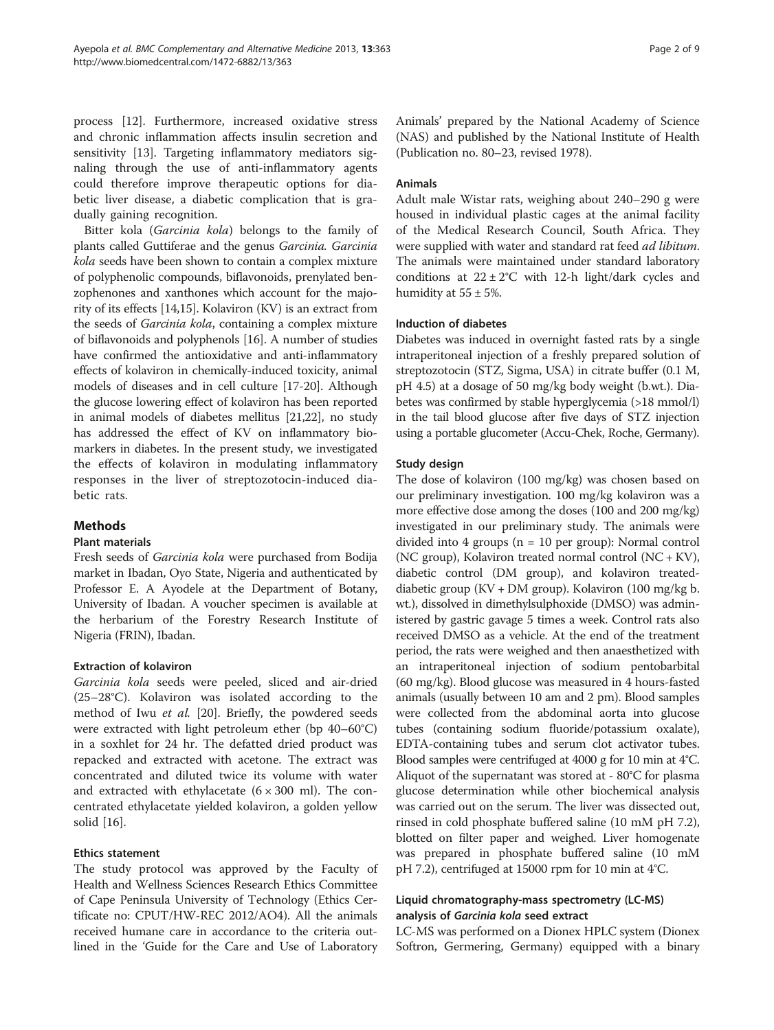process [[12\]](#page-7-0). Furthermore, increased oxidative stress and chronic inflammation affects insulin secretion and sensitivity [\[13](#page-7-0)]. Targeting inflammatory mediators signaling through the use of anti-inflammatory agents could therefore improve therapeutic options for diabetic liver disease, a diabetic complication that is gradually gaining recognition.

Bitter kola (Garcinia kola) belongs to the family of plants called Guttiferae and the genus Garcinia. Garcinia kola seeds have been shown to contain a complex mixture of polyphenolic compounds, biflavonoids, prenylated benzophenones and xanthones which account for the majority of its effects [[14,15\]](#page-7-0). Kolaviron (KV) is an extract from the seeds of Garcinia kola, containing a complex mixture of biflavonoids and polyphenols [\[16\]](#page-7-0). A number of studies have confirmed the antioxidative and anti-inflammatory effects of kolaviron in chemically-induced toxicity, animal models of diseases and in cell culture [[17](#page-7-0)-[20](#page-7-0)]. Although the glucose lowering effect of kolaviron has been reported in animal models of diabetes mellitus [\[21,22](#page-7-0)], no study has addressed the effect of KV on inflammatory biomarkers in diabetes. In the present study, we investigated the effects of kolaviron in modulating inflammatory responses in the liver of streptozotocin-induced diabetic rats.

# Methods

# Plant materials

Fresh seeds of Garcinia kola were purchased from Bodija market in Ibadan, Oyo State, Nigeria and authenticated by Professor E. A Ayodele at the Department of Botany, University of Ibadan. A voucher specimen is available at the herbarium of the Forestry Research Institute of Nigeria (FRIN), Ibadan.

# Extraction of kolaviron

Garcinia kola seeds were peeled, sliced and air-dried (25–28°C). Kolaviron was isolated according to the method of Iwu et al. [[20](#page-7-0)]. Briefly, the powdered seeds were extracted with light petroleum ether (bp 40–60°C) in a soxhlet for 24 hr. The defatted dried product was repacked and extracted with acetone. The extract was concentrated and diluted twice its volume with water and extracted with ethylacetate  $(6 \times 300 \text{ ml})$ . The concentrated ethylacetate yielded kolaviron, a golden yellow solid [\[16\]](#page-7-0).

# Ethics statement

The study protocol was approved by the Faculty of Health and Wellness Sciences Research Ethics Committee of Cape Peninsula University of Technology (Ethics Certificate no: CPUT/HW-REC 2012/AO4). All the animals received humane care in accordance to the criteria outlined in the 'Guide for the Care and Use of Laboratory Animals' prepared by the National Academy of Science (NAS) and published by the National Institute of Health (Publication no. 80–23, revised 1978).

# Animals

Adult male Wistar rats, weighing about 240–290 g were housed in individual plastic cages at the animal facility of the Medical Research Council, South Africa. They were supplied with water and standard rat feed *ad libitum*. The animals were maintained under standard laboratory conditions at  $22 \pm 2^{\circ}$ C with 12-h light/dark cycles and humidity at  $55 \pm 5\%$ .

# Induction of diabetes

Diabetes was induced in overnight fasted rats by a single intraperitoneal injection of a freshly prepared solution of streptozotocin (STZ, Sigma, USA) in citrate buffer (0.1 M, pH 4.5) at a dosage of 50 mg/kg body weight (b.wt.). Diabetes was confirmed by stable hyperglycemia (>18 mmol/l) in the tail blood glucose after five days of STZ injection using a portable glucometer (Accu-Chek, Roche, Germany).

# Study design

The dose of kolaviron (100 mg/kg) was chosen based on our preliminary investigation. 100 mg/kg kolaviron was a more effective dose among the doses (100 and 200 mg/kg) investigated in our preliminary study. The animals were divided into 4 groups (n = 10 per group): Normal control (NC group), Kolaviron treated normal control (NC + KV), diabetic control (DM group), and kolaviron treateddiabetic group (KV + DM group). Kolaviron (100 mg/kg b. wt.), dissolved in dimethylsulphoxide (DMSO) was administered by gastric gavage 5 times a week. Control rats also received DMSO as a vehicle. At the end of the treatment period, the rats were weighed and then anaesthetized with an intraperitoneal injection of sodium pentobarbital (60 mg/kg). Blood glucose was measured in 4 hours-fasted animals (usually between 10 am and 2 pm). Blood samples were collected from the abdominal aorta into glucose tubes (containing sodium fluoride/potassium oxalate), EDTA-containing tubes and serum clot activator tubes. Blood samples were centrifuged at 4000 g for 10 min at 4°C. Aliquot of the supernatant was stored at - 80°C for plasma glucose determination while other biochemical analysis was carried out on the serum. The liver was dissected out, rinsed in cold phosphate buffered saline (10 mM pH 7.2), blotted on filter paper and weighed. Liver homogenate was prepared in phosphate buffered saline (10 mM pH 7.2), centrifuged at 15000 rpm for 10 min at 4°C.

# Liquid chromatography-mass spectrometry (LC-MS) analysis of Garcinia kola seed extract

LC-MS was performed on a Dionex HPLC system (Dionex Softron, Germering, Germany) equipped with a binary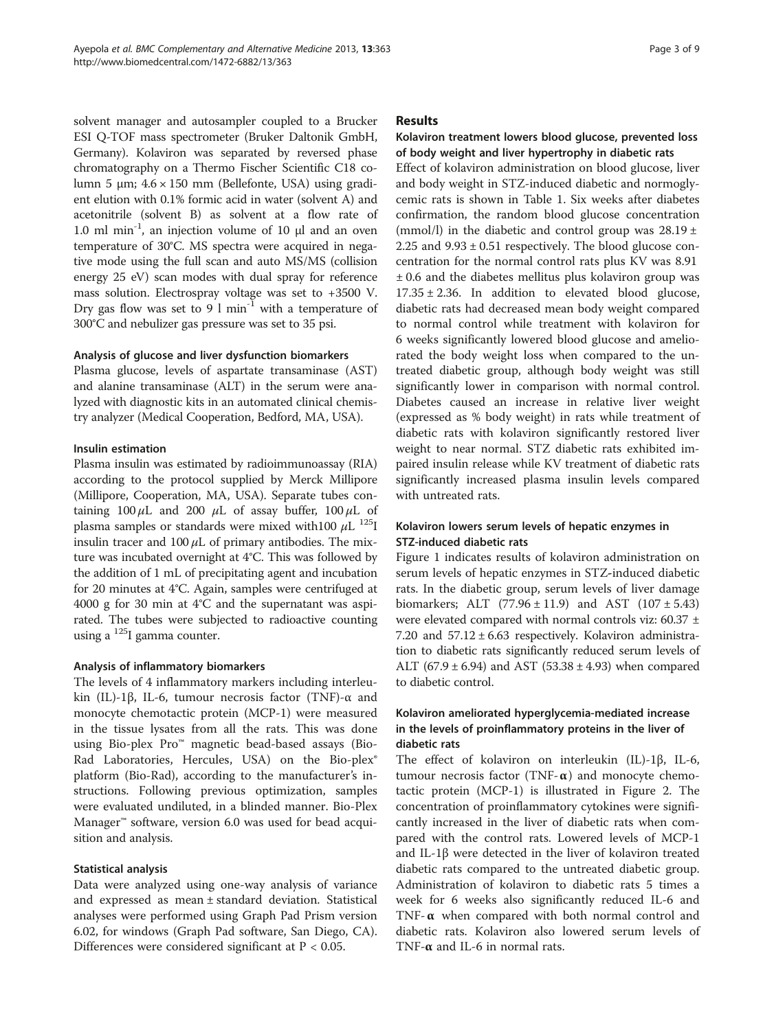solvent manager and autosampler coupled to a Brucker ESI Q-TOF mass spectrometer (Bruker Daltonik GmbH, Germany). Kolaviron was separated by reversed phase chromatography on a Thermo Fischer Scientific C18 column 5 μm;  $4.6 \times 150$  mm (Bellefonte, USA) using gradient elution with 0.1% formic acid in water (solvent A) and acetonitrile (solvent B) as solvent at a flow rate of 1.0 ml min<sup>-1</sup>, an injection volume of 10 μl and an oven temperature of 30°C. MS spectra were acquired in negative mode using the full scan and auto MS/MS (collision energy 25 eV) scan modes with dual spray for reference mass solution. Electrospray voltage was set to +3500 V. Dry gas flow was set to 9  $\text{1 min}^{-1}$  with a temperature of 300°C and nebulizer gas pressure was set to 35 psi.

## Analysis of glucose and liver dysfunction biomarkers

Plasma glucose, levels of aspartate transaminase (AST) and alanine transaminase (ALT) in the serum were analyzed with diagnostic kits in an automated clinical chemistry analyzer (Medical Cooperation, Bedford, MA, USA).

# Insulin estimation

Plasma insulin was estimated by radioimmunoassay (RIA) according to the protocol supplied by Merck Millipore (Millipore, Cooperation, MA, USA). Separate tubes containing  $100 \mu L$  and  $200 \mu L$  of assay buffer,  $100 \mu L$  of plasma samples or standards were mixed with100  $\mu$ L <sup>125</sup>I insulin tracer and  $100 \mu L$  of primary antibodies. The mixture was incubated overnight at 4°C. This was followed by the addition of 1 mL of precipitating agent and incubation for 20 minutes at 4°C. Again, samples were centrifuged at 4000 g for 30 min at 4°C and the supernatant was aspirated. The tubes were subjected to radioactive counting using a 125I gamma counter.

# Analysis of inflammatory biomarkers

The levels of 4 inflammatory markers including interleukin (IL)-1β, IL-6, tumour necrosis factor (TNF)-α and monocyte chemotactic protein (MCP-1) were measured in the tissue lysates from all the rats. This was done using Bio-plex Pro™ magnetic bead-based assays (Bio-Rad Laboratories, Hercules, USA) on the Bio-plex® platform (Bio-Rad), according to the manufacturer's instructions. Following previous optimization, samples were evaluated undiluted, in a blinded manner. Bio-Plex Manager™ software, version 6.0 was used for bead acquisition and analysis.

# Statistical analysis

Data were analyzed using one-way analysis of variance and expressed as mean ± standard deviation. Statistical analyses were performed using Graph Pad Prism version 6.02, for windows (Graph Pad software, San Diego, CA). Differences were considered significant at P < 0.05.

## Results

# Kolaviron treatment lowers blood glucose, prevented loss of body weight and liver hypertrophy in diabetic rats

Effect of kolaviron administration on blood glucose, liver and body weight in STZ-induced diabetic and normoglycemic rats is shown in Table [1](#page-3-0). Six weeks after diabetes confirmation, the random blood glucose concentration (mmol/l) in the diabetic and control group was  $28.19 \pm$ 2.25 and  $9.93 \pm 0.51$  respectively. The blood glucose concentration for the normal control rats plus KV was 8.91 ± 0.6 and the diabetes mellitus plus kolaviron group was  $17.35 \pm 2.36$ . In addition to elevated blood glucose, diabetic rats had decreased mean body weight compared to normal control while treatment with kolaviron for 6 weeks significantly lowered blood glucose and ameliorated the body weight loss when compared to the untreated diabetic group, although body weight was still significantly lower in comparison with normal control. Diabetes caused an increase in relative liver weight (expressed as % body weight) in rats while treatment of diabetic rats with kolaviron significantly restored liver weight to near normal. STZ diabetic rats exhibited impaired insulin release while KV treatment of diabetic rats significantly increased plasma insulin levels compared with untreated rats.

# Kolaviron lowers serum levels of hepatic enzymes in STZ-induced diabetic rats

Figure [1](#page-3-0) indicates results of kolaviron administration on serum levels of hepatic enzymes in STZ-induced diabetic rats. In the diabetic group, serum levels of liver damage biomarkers; ALT  $(77.96 \pm 11.9)$  and AST  $(107 \pm 5.43)$ were elevated compared with normal controls viz: 60.37 ± 7.20 and 57.12 ± 6.63 respectively. Kolaviron administration to diabetic rats significantly reduced serum levels of ALT (67.9  $\pm$  6.94) and AST (53.38  $\pm$  4.93) when compared to diabetic control.

# Kolaviron ameliorated hyperglycemia-mediated increase in the levels of proinflammatory proteins in the liver of diabetic rats

The effect of kolaviron on interleukin (IL)-1β, IL-6, tumour necrosis factor (TNF- $\alpha$ ) and monocyte chemotactic protein (MCP-1) is illustrated in Figure [2](#page-4-0). The concentration of proinflammatory cytokines were significantly increased in the liver of diabetic rats when compared with the control rats. Lowered levels of MCP-1 and IL-1 $\beta$  were detected in the liver of kolaviron treated diabetic rats compared to the untreated diabetic group. Administration of kolaviron to diabetic rats 5 times a week for 6 weeks also significantly reduced IL-6 and TNF- $\alpha$  when compared with both normal control and diabetic rats. Kolaviron also lowered serum levels of TNF-α and IL-6 in normal rats.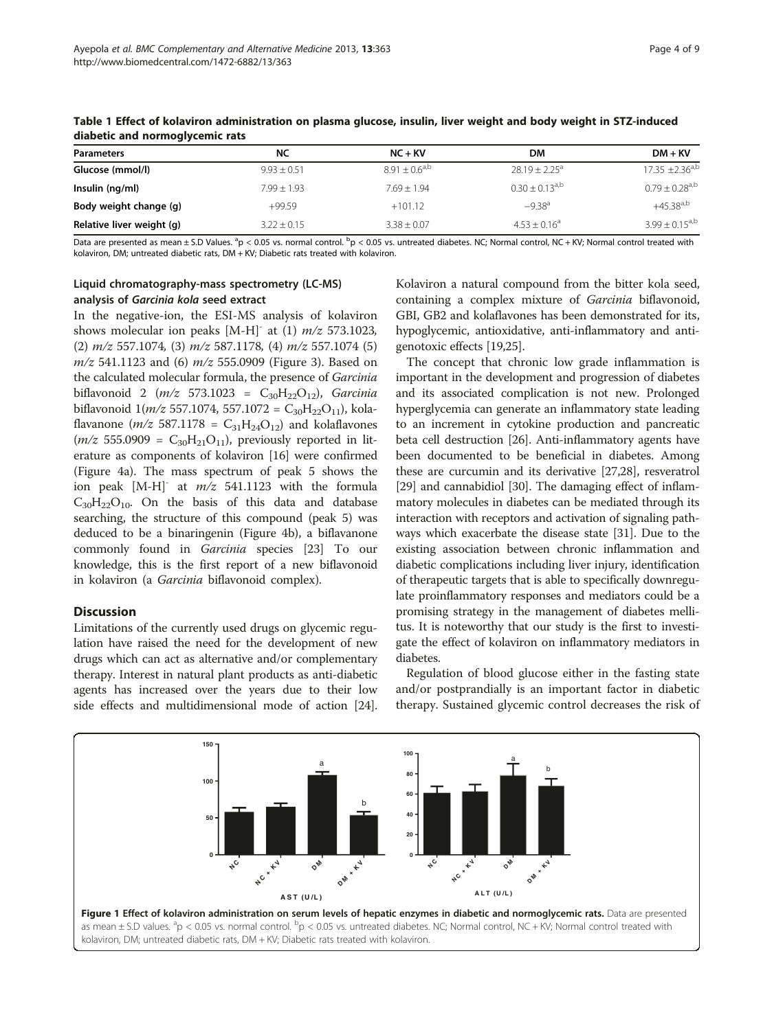| <b>Parameters</b>         | NC            | $NC + KV$          | DМ                  | $DM + KV$                    |
|---------------------------|---------------|--------------------|---------------------|------------------------------|
| Glucose (mmol/l)          | $9.93 + 0.51$ | $8.91 + 0.6^{a,b}$ | $28.19 + 2.25^a$    | $17.35 \pm 2.36^{a,b}$       |
| Insulin (ng/ml)           | $7.99 + 1.93$ | $7.69 + 1.94$      | $0.30 + 0.13^{a,b}$ | $0.79 + 0.28$ <sup>a,b</sup> |
| Body weight change (g)    | $+99.59$      | $+101.12$          | $-9.38^{a}$         | $+45.38^{a,b}$               |
| Relative liver weight (g) | $3.22 + 0.15$ | $3.38 \pm 0.07$    | $4.53 + 0.16^a$     | $3.99 + 0.15^{a,b}$          |

<span id="page-3-0"></span>Table 1 Effect of kolaviron administration on plasma glucose, insulin, liver weight and body weight in STZ-induced diabetic and normoglycemic rats

Data are presented as mean ± S.D Values. <sup>a</sup>p < 0.05 vs. normal control. <sup>b</sup>p < 0.05 vs. untreated diabetes. NC; Normal control, NC + KV; Normal control treated with kolaviron, DM; untreated diabetic rats, DM + KV; Diabetic rats treated with kolaviron.

# Liquid chromatography-mass spectrometry (LC-MS) analysis of Garcinia kola seed extract

In the negative-ion, the ESI-MS analysis of kolaviron shows molecular ion peaks  $[M-H]$ <sup>-</sup> at (1)  $m/z$  573.1023, (2)  $m/z$  557.1074, (3)  $m/z$  587.1178, (4)  $m/z$  557.1074 (5)  $m/z$  541.1123 and (6)  $m/z$  555.0909 (Figure [3](#page-5-0)). Based on the calculated molecular formula, the presence of Garcinia biflavonoid 2 ( $m/z$  573.1023 = C<sub>30</sub>H<sub>22</sub>O<sub>12</sub>), Garcinia biflavonoid  $1(m/z 557.1074, 557.1072 = C_{30}H_{22}O_{11}$ , kolaflavanone ( $m/z$  587.1178 =  $C_{31}H_{24}O_{12}$ ) and kolaflavones  $(m/z 555.0909 = C_{30}H_{21}O_{11}$ , previously reported in literature as components of kolaviron [\[16\]](#page-7-0) were confirmed (Figure [4](#page-6-0)a). The mass spectrum of peak 5 shows the ion peak  $[M-H]$ <sup>-</sup> at  $m/z$  541.1123 with the formula  $C_{30}H_{22}O_{10}$ . On the basis of this data and database searching, the structure of this compound (peak 5) was deduced to be a binaringenin (Figure [4b](#page-6-0)), a biflavanone commonly found in Garcinia species [[23](#page-7-0)] To our knowledge, this is the first report of a new biflavonoid in kolaviron (a Garcinia biflavonoid complex).

# **Discussion**

Limitations of the currently used drugs on glycemic regulation have raised the need for the development of new drugs which can act as alternative and/or complementary therapy. Interest in natural plant products as anti-diabetic agents has increased over the years due to their low side effects and multidimensional mode of action [[24](#page-7-0)].

Kolaviron a natural compound from the bitter kola seed, containing a complex mixture of Garcinia biflavonoid, GBI, GB2 and kolaflavones has been demonstrated for its, hypoglycemic, antioxidative, anti-inflammatory and antigenotoxic effects [\[19,25\]](#page-7-0).

The concept that chronic low grade inflammation is important in the development and progression of diabetes and its associated complication is not new. Prolonged hyperglycemia can generate an inflammatory state leading to an increment in cytokine production and pancreatic beta cell destruction [\[26\]](#page-7-0). Anti-inflammatory agents have been documented to be beneficial in diabetes. Among these are curcumin and its derivative [[27,28\]](#page-7-0), resveratrol [[29](#page-7-0)] and cannabidiol [\[30\]](#page-7-0). The damaging effect of inflammatory molecules in diabetes can be mediated through its interaction with receptors and activation of signaling pathways which exacerbate the disease state [\[31\]](#page-7-0). Due to the existing association between chronic inflammation and diabetic complications including liver injury, identification of therapeutic targets that is able to specifically downregulate proinflammatory responses and mediators could be a promising strategy in the management of diabetes mellitus. It is noteworthy that our study is the first to investigate the effect of kolaviron on inflammatory mediators in diabetes.

Regulation of blood glucose either in the fasting state and/or postprandially is an important factor in diabetic therapy. Sustained glycemic control decreases the risk of

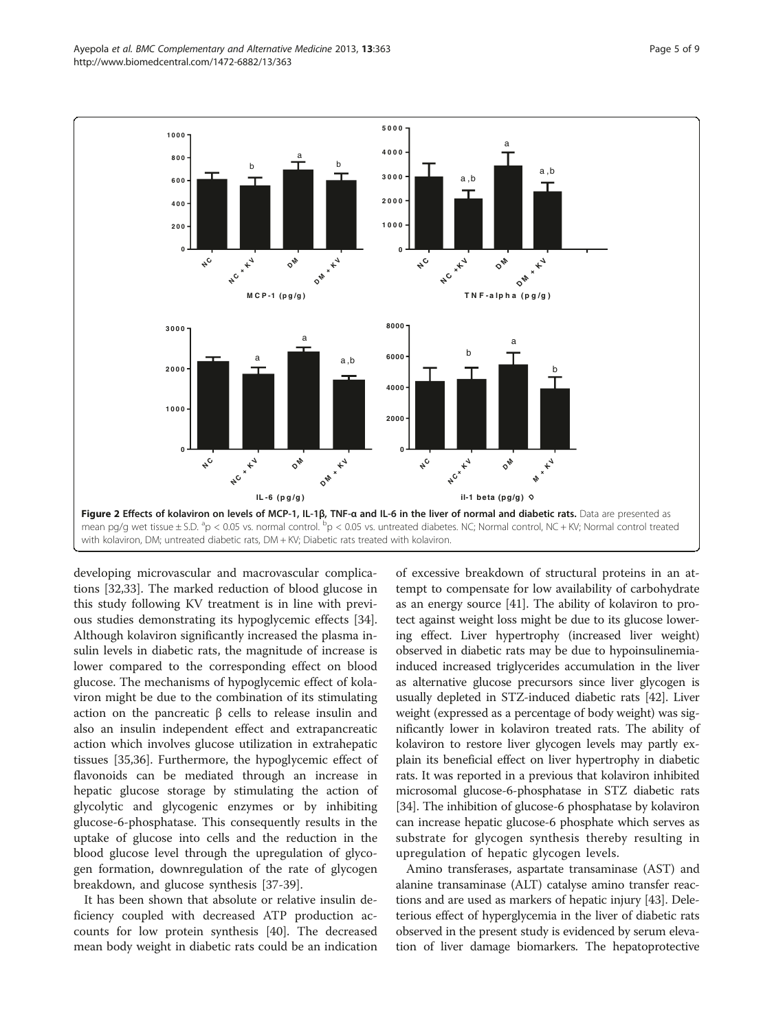<span id="page-4-0"></span>

developing microvascular and macrovascular complications [\[32,33](#page-7-0)]. The marked reduction of blood glucose in this study following KV treatment is in line with previous studies demonstrating its hypoglycemic effects [\[34](#page-7-0)]. Although kolaviron significantly increased the plasma insulin levels in diabetic rats, the magnitude of increase is lower compared to the corresponding effect on blood glucose. The mechanisms of hypoglycemic effect of kolaviron might be due to the combination of its stimulating action on the pancreatic  $β$  cells to release insulin and also an insulin independent effect and extrapancreatic action which involves glucose utilization in extrahepatic tissues [[35](#page-7-0),[36](#page-7-0)]. Furthermore, the hypoglycemic effect of flavonoids can be mediated through an increase in hepatic glucose storage by stimulating the action of glycolytic and glycogenic enzymes or by inhibiting glucose-6-phosphatase. This consequently results in the uptake of glucose into cells and the reduction in the blood glucose level through the upregulation of glycogen formation, downregulation of the rate of glycogen breakdown, and glucose synthesis [[37-](#page-7-0)[39\]](#page-8-0).

It has been shown that absolute or relative insulin deficiency coupled with decreased ATP production accounts for low protein synthesis [[40\]](#page-8-0). The decreased mean body weight in diabetic rats could be an indication

of excessive breakdown of structural proteins in an attempt to compensate for low availability of carbohydrate as an energy source [\[41\]](#page-8-0). The ability of kolaviron to protect against weight loss might be due to its glucose lowering effect. Liver hypertrophy (increased liver weight) observed in diabetic rats may be due to hypoinsulinemiainduced increased triglycerides accumulation in the liver as alternative glucose precursors since liver glycogen is usually depleted in STZ-induced diabetic rats [[42](#page-8-0)]. Liver weight (expressed as a percentage of body weight) was significantly lower in kolaviron treated rats. The ability of kolaviron to restore liver glycogen levels may partly explain its beneficial effect on liver hypertrophy in diabetic rats. It was reported in a previous that kolaviron inhibited microsomal glucose-6-phosphatase in STZ diabetic rats [[34](#page-7-0)]. The inhibition of glucose-6 phosphatase by kolaviron can increase hepatic glucose-6 phosphate which serves as substrate for glycogen synthesis thereby resulting in upregulation of hepatic glycogen levels.

Amino transferases, aspartate transaminase (AST) and alanine transaminase (ALT) catalyse amino transfer reactions and are used as markers of hepatic injury [\[43\]](#page-8-0). Deleterious effect of hyperglycemia in the liver of diabetic rats observed in the present study is evidenced by serum elevation of liver damage biomarkers. The hepatoprotective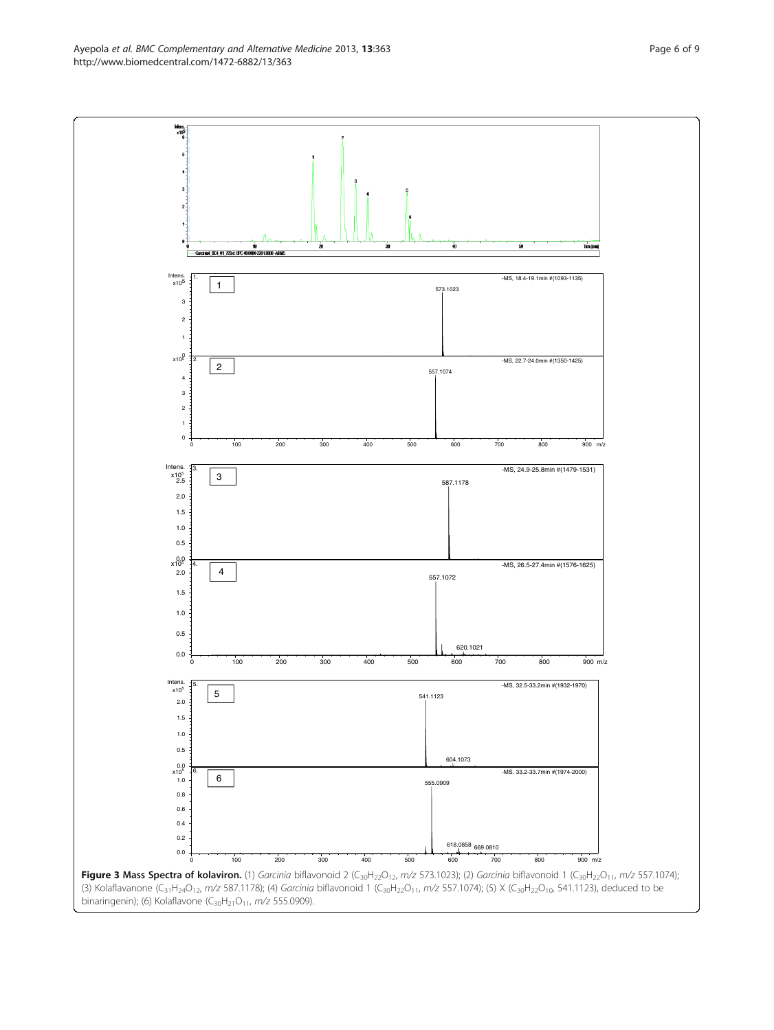<span id="page-5-0"></span>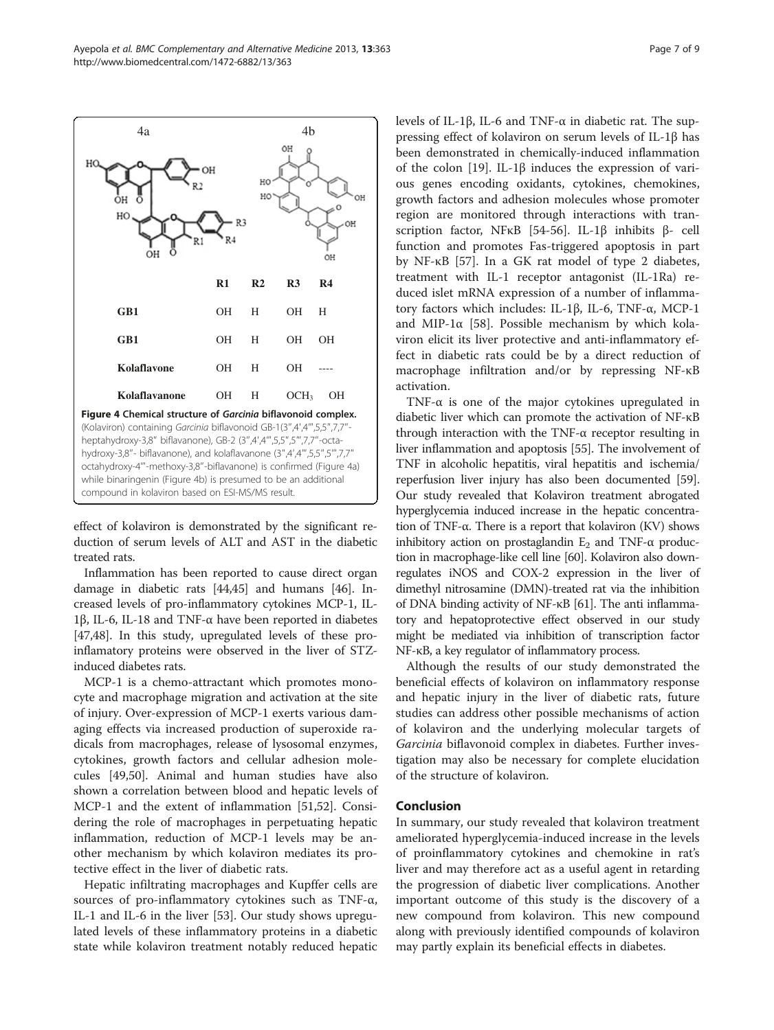effect of kolaviron is demonstrated by the significant reduction of serum levels of ALT and AST in the diabetic treated rats.

Figure 4 Chemical structure of Garcinia biflavonoid complex. (Kolaviron) containing Garcinia biflavonoid GB-1(3″,4′,4‴,5,5″,7,7″ heptahydroxy-3,8″ biflavanone), GB-2 (3″,4′,4‴,5,5″,5‴,7,7″-octahydroxy-3,8"- biflavanone), and kolaflavanone (3",4',4"",5,5",5"',7,7 octahydroxy-4‴-methoxy-3,8″-biflavanone) is confirmed (Figure 4a) while binaringenin (Figure 4b) is presumed to be an additional

Inflammation has been reported to cause direct organ damage in diabetic rats [[44](#page-8-0),[45](#page-8-0)] and humans [\[46\]](#page-8-0). Increased levels of pro-inflammatory cytokines MCP-1, IL-1β, IL-6, IL-18 and TNF-α have been reported in diabetes [[47,48](#page-8-0)]. In this study, upregulated levels of these proinflamatory proteins were observed in the liver of STZinduced diabetes rats.

MCP-1 is a chemo-attractant which promotes monocyte and macrophage migration and activation at the site of injury. Over-expression of MCP-1 exerts various damaging effects via increased production of superoxide radicals from macrophages, release of lysosomal enzymes, cytokines, growth factors and cellular adhesion molecules [\[49,50\]](#page-8-0). Animal and human studies have also shown a correlation between blood and hepatic levels of MCP-1 and the extent of inflammation [[51,52\]](#page-8-0). Considering the role of macrophages in perpetuating hepatic inflammation, reduction of MCP-1 levels may be another mechanism by which kolaviron mediates its protective effect in the liver of diabetic rats.

Hepatic infiltrating macrophages and Kupffer cells are sources of pro-inflammatory cytokines such as TNF-α, IL-1 and IL-6 in the liver [\[53\]](#page-8-0). Our study shows upregulated levels of these inflammatory proteins in a diabetic state while kolaviron treatment notably reduced hepatic levels of IL-1β, IL-6 and TNF-α in diabetic rat. The suppressing effect of kolaviron on serum levels of IL-1β has been demonstrated in chemically-induced inflammation of the colon [\[19](#page-7-0)]. IL-1β induces the expression of various genes encoding oxidants, cytokines, chemokines, growth factors and adhesion molecules whose promoter region are monitored through interactions with transcription factor, NFκB [\[54](#page-8-0)-[56\]](#page-8-0). IL-1β inhibits β- cell function and promotes Fas-triggered apoptosis in part by NF-κB [\[57](#page-8-0)]. In a GK rat model of type 2 diabetes, treatment with IL-1 receptor antagonist (IL-1Ra) reduced islet mRNA expression of a number of inflammatory factors which includes: IL-1β, IL-6, TNF-α, MCP-1 and MIP-1 $\alpha$  [[58](#page-8-0)]. Possible mechanism by which kolaviron elicit its liver protective and anti-inflammatory effect in diabetic rats could be by a direct reduction of macrophage infiltration and/or by repressing NF-κB activation.

TNF- $\alpha$  is one of the major cytokines upregulated in diabetic liver which can promote the activation of NF-κB through interaction with the TNF-α receptor resulting in liver inflammation and apoptosis [\[55](#page-8-0)]. The involvement of TNF in alcoholic hepatitis, viral hepatitis and ischemia/ reperfusion liver injury has also been documented [[59](#page-8-0)]. Our study revealed that Kolaviron treatment abrogated hyperglycemia induced increase in the hepatic concentration of TNF-α. There is a report that kolaviron (KV) shows inhibitory action on prostaglandin  $E_2$  and TNF- $\alpha$  production in macrophage-like cell line [\[60\]](#page-8-0). Kolaviron also downregulates iNOS and COX-2 expression in the liver of dimethyl nitrosamine (DMN)-treated rat via the inhibition of DNA binding activity of NF-κB [[61\]](#page-8-0). The anti inflammatory and hepatoprotective effect observed in our study might be mediated via inhibition of transcription factor NF-κB, a key regulator of inflammatory process.

Although the results of our study demonstrated the beneficial effects of kolaviron on inflammatory response and hepatic injury in the liver of diabetic rats, future studies can address other possible mechanisms of action of kolaviron and the underlying molecular targets of Garcinia biflavonoid complex in diabetes. Further investigation may also be necessary for complete elucidation of the structure of kolaviron.

## Conclusion

In summary, our study revealed that kolaviron treatment ameliorated hyperglycemia-induced increase in the levels of proinflammatory cytokines and chemokine in rat's liver and may therefore act as a useful agent in retarding the progression of diabetic liver complications. Another important outcome of this study is the discovery of a new compound from kolaviron. This new compound along with previously identified compounds of kolaviron may partly explain its beneficial effects in diabetes.

<span id="page-6-0"></span>

**GB1**

ÒН HC

 $H<sub>C</sub>$ 

**GB1**

**Kolaflavanone**

ÓН

Kolaflavone OH H

compound in kolaviron based on ESI-MS/MS result.

OH

 $\mathbf{H}\cap$ 

**R1 R2 R3 R4**

OH H OH H

OH H OH OH

OH H OCH<sub>3</sub> OH

OH

OH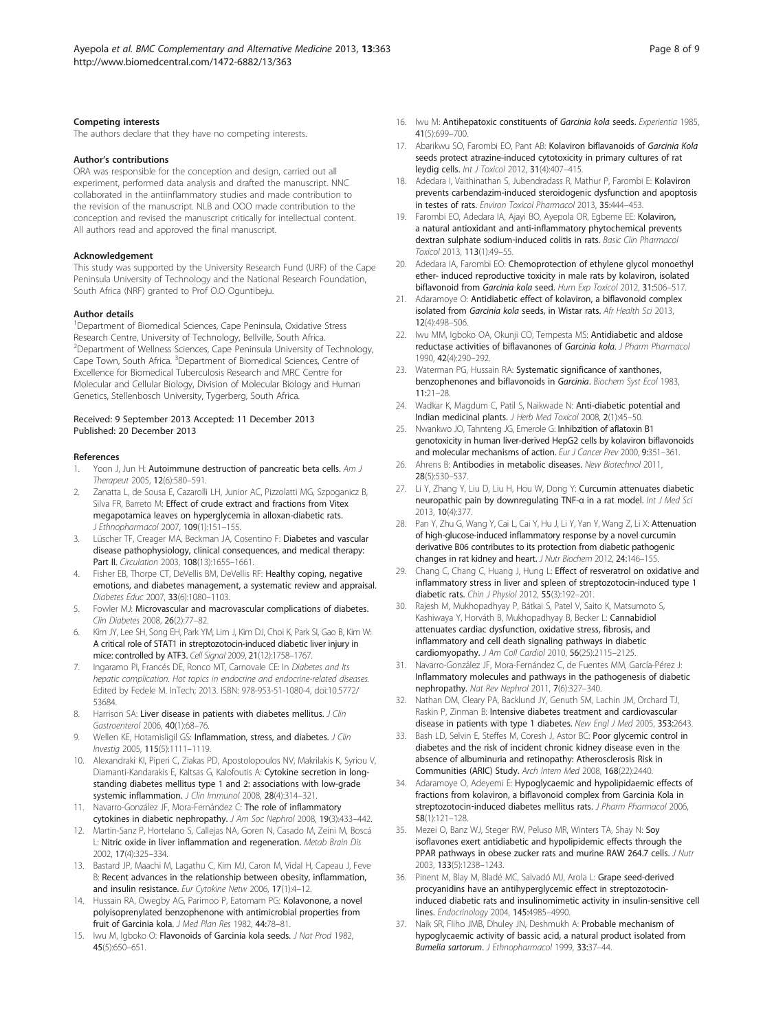#### <span id="page-7-0"></span>Competing interests

The authors declare that they have no competing interests.

#### Author's contributions

ORA was responsible for the conception and design, carried out all experiment, performed data analysis and drafted the manuscript. NNC collaborated in the antiinflammatory studies and made contribution to the revision of the manuscript. NLB and OOO made contribution to the conception and revised the manuscript critically for intellectual content. All authors read and approved the final manuscript.

## Acknowledgement

This study was supported by the University Research Fund (URF) of the Cape Peninsula University of Technology and the National Research Foundation, South Africa (NRF) granted to Prof O.O Oguntibeju.

#### Author details

<sup>1</sup>Department of Biomedical Sciences, Cape Peninsula, Oxidative Stress Research Centre, University of Technology, Bellville, South Africa. <sup>2</sup>Department of Wellness Sciences, Cape Peninsula University of Technology, Cape Town, South Africa. <sup>3</sup>Department of Biomedical Sciences, Centre of Excellence for Biomedical Tuberculosis Research and MRC Centre for Molecular and Cellular Biology, Division of Molecular Biology and Human Genetics, Stellenbosch University, Tygerberg, South Africa.

### Received: 9 September 2013 Accepted: 11 December 2013 Published: 20 December 2013

#### References

- 1. Yoon J, Jun H: Autoimmune destruction of pancreatic beta cells. Am J Therapeut 2005, 12(6):580–591.
- 2. Zanatta L, de Sousa E, Cazarolli LH, Junior AC, Pizzolatti MG, Szpoganicz B, Silva FR, Barreto M: Effect of crude extract and fractions from Vitex megapotamica leaves on hyperglycemia in alloxan-diabetic rats. J Ethnopharmacol 2007, 109(1):151–155.
- 3. Lüscher TF, Creager MA, Beckman JA, Cosentino F: Diabetes and vascular disease pathophysiology, clinical consequences, and medical therapy: Part II. Circulation 2003, 108(13):1655–1661.
- 4. Fisher EB, Thorpe CT, DeVellis BM, DeVellis RF: Healthy coping, negative emotions, and diabetes management, a systematic review and appraisal. Diabetes Educ 2007, 33(6):1080–1103.
- 5. Fowler MJ: Microvascular and macrovascular complications of diabetes. Clin Diabetes 2008, 26(2):77–82.
- 6. Kim JY, Lee SH, Song EH, Park YM, Lim J, Kim DJ, Choi K, Park SI, Gao B, Kim W: A critical role of STAT1 in streptozotocin-induced diabetic liver injury in mice: controlled by ATF3. Cell Signal 2009, 21(12):1758–1767.
- 7. Ingaramo PI, Francés DE, Ronco MT, Carnovale CE: In Diabetes and Its hepatic complication. Hot topics in endocrine and endocrine-related diseases. Edited by Fedele M. InTech; 2013. ISBN: 978-953-51-1080-4, doi:10.5772/ 53684.
- 8. Harrison SA: Liver disease in patients with diabetes mellitus. J Clin Gastroenterol 2006, 40(1):68–76.
- 9. Wellen KE, Hotamisligil GS: Inflammation, stress, and diabetes. J Clin Investig 2005, 115(5):1111–1119.
- 10. Alexandraki KI, Piperi C, Ziakas PD, Apostolopoulos NV, Makrilakis K, Syriou V, Diamanti-Kandarakis E, Kaltsas G, Kalofoutis A: Cytokine secretion in longstanding diabetes mellitus type 1 and 2: associations with low-grade systemic inflammation. J Clin Immunol 2008, 28(4):314–321.
- 11. Navarro-González JF, Mora-Fernández C: The role of inflammatory cytokines in diabetic nephropathy. J Am Soc Nephrol 2008, 19(3):433–442.
- 12. Martin-Sanz P, Hortelano S, Callejas NA, Goren N, Casado M, Zeini M, Boscá L: Nitric oxide in liver inflammation and regeneration. Metab Brain Dis 2002, 17(4):325–334.
- 13. Bastard JP, Maachi M, Lagathu C, Kim MJ, Caron M, Vidal H, Capeau J, Feve B: Recent advances in the relationship between obesity, inflammation, and insulin resistance. Eur Cytokine Netw 2006, 17(1):4–12.
- 14. Hussain RA, Owegby AG, Parimoo P, Eatomam PG: Kolavonone, a novel polyisoprenylated benzophenone with antimicrobial properties from fruit of Garcinia kola. J Med Plan Res 1982, 44:78–81.
- 15. Iwu M, Igboko O: Flavonoids of Garcinia kola seeds. J Nat Prod 1982, 45(5):650–651.
- 16. Iwu M: Antihepatoxic constituents of Garcinia kola seeds. Experientia 1985, 41(5):699–700.
- 17. Abarikwu SO, Farombi EO, Pant AB: Kolaviron biflavanoids of Garcinia Kola seeds protect atrazine-induced cytotoxicity in primary cultures of rat leydig cells. Int J Toxicol 2012, 31(4):407–415.
- 18. Adedara I, Vaithinathan S, Jubendradass R, Mathur P, Farombi E: Kolaviron prevents carbendazim-induced steroidogenic dysfunction and apoptosis in testes of rats. Environ Toxicol Pharmacol 2013, 35:444–453.
- 19. Farombi EO, Adedara IA, Ajayi BO, Ayepola OR, Egbeme EE: Kolaviron, a natural antioxidant and anti‐inflammatory phytochemical prevents dextran sulphate sodium-induced colitis in rats. Basic Clin Pharmacol Toxicol 2013, 113(1):49–55.
- 20. Adedara IA, Farombi EO: Chemoprotection of ethylene glycol monoethyl ether- induced reproductive toxicity in male rats by kolaviron, isolated biflavonoid from Garcinia kola seed. Hum Exp Toxicol 2012, 31:506-517.
- 21. Adaramoye O: Antidiabetic effect of kolaviron, a biflavonoid complex isolated from Garcinia kola seeds, in Wistar rats. Afr Health Sci 2013, 12(4):498–506.
- 22. Iwu MM, Igboko OA, Okunji CO, Tempesta MS: Antidiabetic and aldose reductase activities of biflavanones of Garcinia kola. J Pharm Pharmacol 1990, 42(4):290–292.
- 23. Waterman PG, Hussain RA: Systematic significance of xanthones, benzophenones and biflavonoids in Garcinia. Biochem Syst Ecol 1983, 11:21–28.
- 24. Wadkar K, Magdum C, Patil S, Naikwade N: Anti-diabetic potential and Indian medicinal plants. J Herb Med Toxicol 2008, 2(1):45–50.
- 25. Nwankwo JO, Tahnteng JG, Emerole G: Inhibzition of aflatoxin B1 genotoxicity in human liver-derived HepG2 cells by kolaviron biflavonoids and molecular mechanisms of action. Eur J Cancer Prev 2000, 9:351-361.
- 26. Ahrens B: Antibodies in metabolic diseases. New Biotechnol 2011, 28(5):530–537.
- 27. Li Y, Zhang Y, Liu D, Liu H, Hou W, Dong Y: Curcumin attenuates diabetic neuropathic pain by downregulating TNF-α in a rat model. Int J Med Sci 2013, 10(4):377.
- 28. Pan Y, Zhu G, Wang Y, Cai L, Cai Y, Hu J, Li Y, Yan Y, Wang Z, Li X: Attenuation of high-glucose-induced inflammatory response by a novel curcumin derivative B06 contributes to its protection from diabetic pathogenic changes in rat kidney and heart. J Nutr Biochem 2012, 24:146-155.
- 29. Chang C, Chang C, Huang J, Hung L: Effect of resveratrol on oxidative and inflammatory stress in liver and spleen of streptozotocin-induced type 1 diabetic rats. Chin J Physiol 2012, 55(3):192–201.
- 30. Rajesh M, Mukhopadhyay P, Bátkai S, Patel V, Saito K, Matsumoto S, Kashiwaya Y, Horváth B, Mukhopadhyay B, Becker L: Cannabidiol attenuates cardiac dysfunction, oxidative stress, fibrosis, and inflammatory and cell death signaling pathways in diabetic cardiomyopathy. J Am Coll Cardiol 2010, 56(25):2115–2125.
- 31. Navarro-González JF, Mora-Fernández C, de Fuentes MM, García-Pérez J: Inflammatory molecules and pathways in the pathogenesis of diabetic nephropathy. Nat Rev Nephrol 2011, 7(6):327–340.
- 32. Nathan DM, Cleary PA, Backlund JY, Genuth SM, Lachin JM, Orchard TJ, Raskin P, Zinman B: Intensive diabetes treatment and cardiovascular disease in patients with type 1 diabetes. New Engl J Med 2005, 353:2643.
- 33. Bash LD, Selvin E, Steffes M, Coresh J, Astor BC: Poor glycemic control in diabetes and the risk of incident chronic kidney disease even in the absence of albuminuria and retinopathy: Atherosclerosis Risk in Communities (ARIC) Study. Arch Intern Med 2008, 168(22):2440.
- Adaramoye O, Adeyemi E: Hypoglycaemic and hypolipidaemic effects of fractions from kolaviron, a biflavonoid complex from Garcinia Kola in streptozotocin-induced diabetes mellitus rats. J Pharm Pharmacol 2006, 58(1):121–128.
- 35. Mezei O, Banz WJ, Steger RW, Peluso MR, Winters TA, Shay N: Soy isoflavones exert antidiabetic and hypolipidemic effects through the PPAR pathways in obese zucker rats and murine RAW 264.7 cells. J Nutr 2003, 133(5):1238–1243.
- 36. Pinent M, Blay M, Bladé MC, Salvadó MJ, Arola L: Grape seed-derived procyanidins have an antihyperglycemic effect in streptozotocininduced diabetic rats and insulinomimetic activity in insulin-sensitive cell lines. Endocrinology 2004, 145:4985–4990.
- 37. Naik SR, Fliho JMB, Dhuley JN, Deshmukh A: Probable mechanism of hypoglycaemic activity of bassic acid, a natural product isolated from Bumelia sartorum. J Ethnopharmacol 1999, 33:37–44.